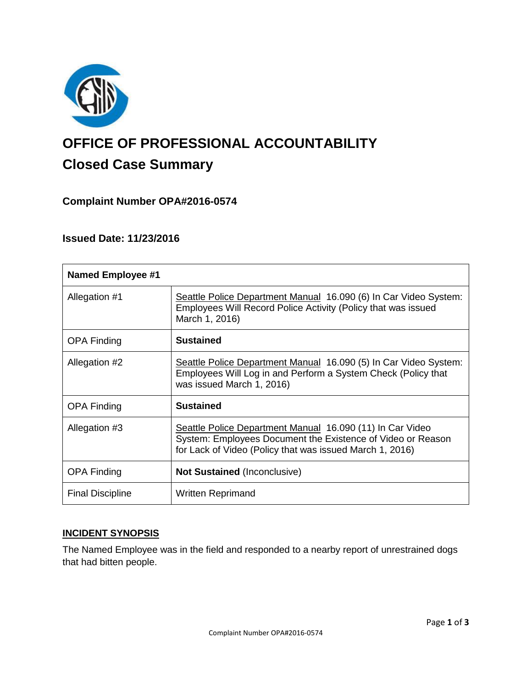

# **OFFICE OF PROFESSIONAL ACCOUNTABILITY Closed Case Summary**

# **Complaint Number OPA#2016-0574**

## **Issued Date: 11/23/2016**

| <b>Named Employee #1</b> |                                                                                                                                                                                      |
|--------------------------|--------------------------------------------------------------------------------------------------------------------------------------------------------------------------------------|
| Allegation #1            | Seattle Police Department Manual 16.090 (6) In Car Video System:<br>Employees Will Record Police Activity (Policy that was issued<br>March 1, 2016)                                  |
| <b>OPA Finding</b>       | <b>Sustained</b>                                                                                                                                                                     |
| Allegation #2            | Seattle Police Department Manual 16.090 (5) In Car Video System:<br>Employees Will Log in and Perform a System Check (Policy that<br>was issued March 1, 2016)                       |
| <b>OPA Finding</b>       | <b>Sustained</b>                                                                                                                                                                     |
| Allegation #3            | Seattle Police Department Manual 16.090 (11) In Car Video<br>System: Employees Document the Existence of Video or Reason<br>for Lack of Video (Policy that was issued March 1, 2016) |
| <b>OPA Finding</b>       | <b>Not Sustained (Inconclusive)</b>                                                                                                                                                  |
| <b>Final Discipline</b>  | <b>Written Reprimand</b>                                                                                                                                                             |

## **INCIDENT SYNOPSIS**

The Named Employee was in the field and responded to a nearby report of unrestrained dogs that had bitten people.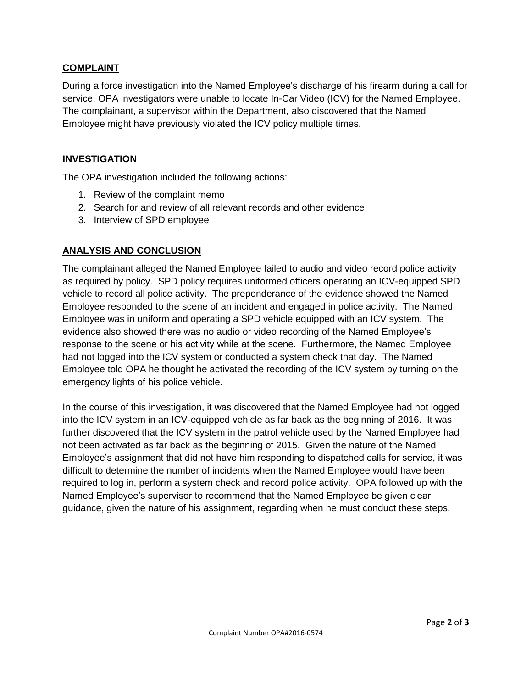### **COMPLAINT**

During a force investigation into the Named Employee's discharge of his firearm during a call for service, OPA investigators were unable to locate In-Car Video (ICV) for the Named Employee. The complainant, a supervisor within the Department, also discovered that the Named Employee might have previously violated the ICV policy multiple times.

## **INVESTIGATION**

The OPA investigation included the following actions:

- 1. Review of the complaint memo
- 2. Search for and review of all relevant records and other evidence
- 3. Interview of SPD employee

## **ANALYSIS AND CONCLUSION**

The complainant alleged the Named Employee failed to audio and video record police activity as required by policy. SPD policy requires uniformed officers operating an ICV-equipped SPD vehicle to record all police activity. The preponderance of the evidence showed the Named Employee responded to the scene of an incident and engaged in police activity. The Named Employee was in uniform and operating a SPD vehicle equipped with an ICV system. The evidence also showed there was no audio or video recording of the Named Employee's response to the scene or his activity while at the scene. Furthermore, the Named Employee had not logged into the ICV system or conducted a system check that day. The Named Employee told OPA he thought he activated the recording of the ICV system by turning on the emergency lights of his police vehicle.

In the course of this investigation, it was discovered that the Named Employee had not logged into the ICV system in an ICV-equipped vehicle as far back as the beginning of 2016. It was further discovered that the ICV system in the patrol vehicle used by the Named Employee had not been activated as far back as the beginning of 2015. Given the nature of the Named Employee's assignment that did not have him responding to dispatched calls for service, it was difficult to determine the number of incidents when the Named Employee would have been required to log in, perform a system check and record police activity. OPA followed up with the Named Employee's supervisor to recommend that the Named Employee be given clear guidance, given the nature of his assignment, regarding when he must conduct these steps.